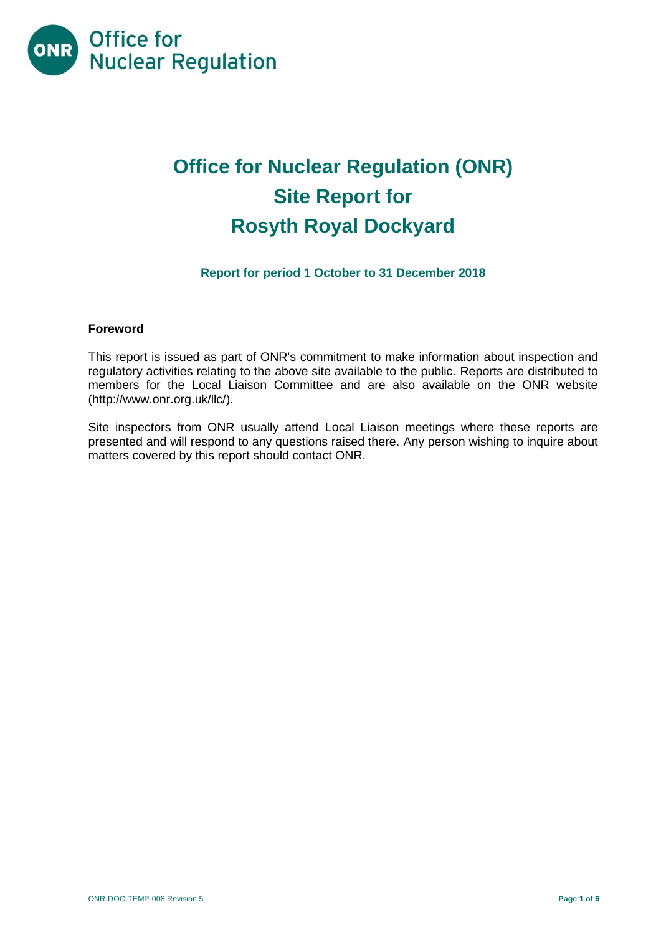

# **Office for Nuclear Regulation (ONR) Site Report for Rosyth Royal Dockyard**

# **Report for period 1 October to 31 December 2018**

# **Foreword**

This report is issued as part of ONR's commitment to make information about inspection and regulatory activities relating to the above site available to the public. Reports are distributed to members for the Local Liaison Committee and are also available on the ONR website [\(http://www.onr.org.uk/llc/\)](http://www.onr.org.uk/llc/).

Site inspectors from ONR usually attend Local Liaison meetings where these reports are presented and will respond to any questions raised there. Any person wishing to inquire about matters covered by this report should contact ONR.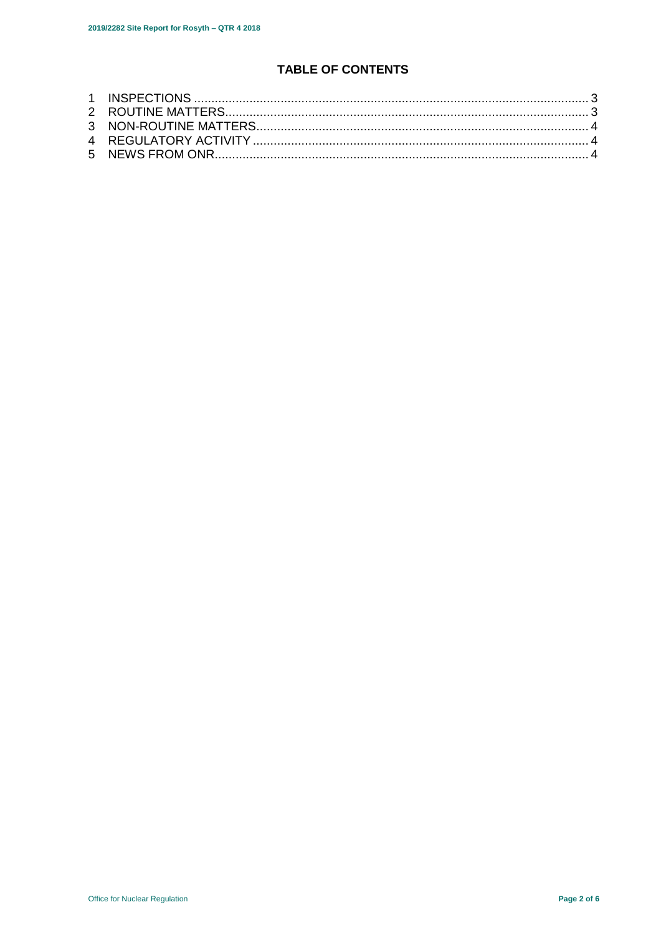# **TABLE OF CONTENTS**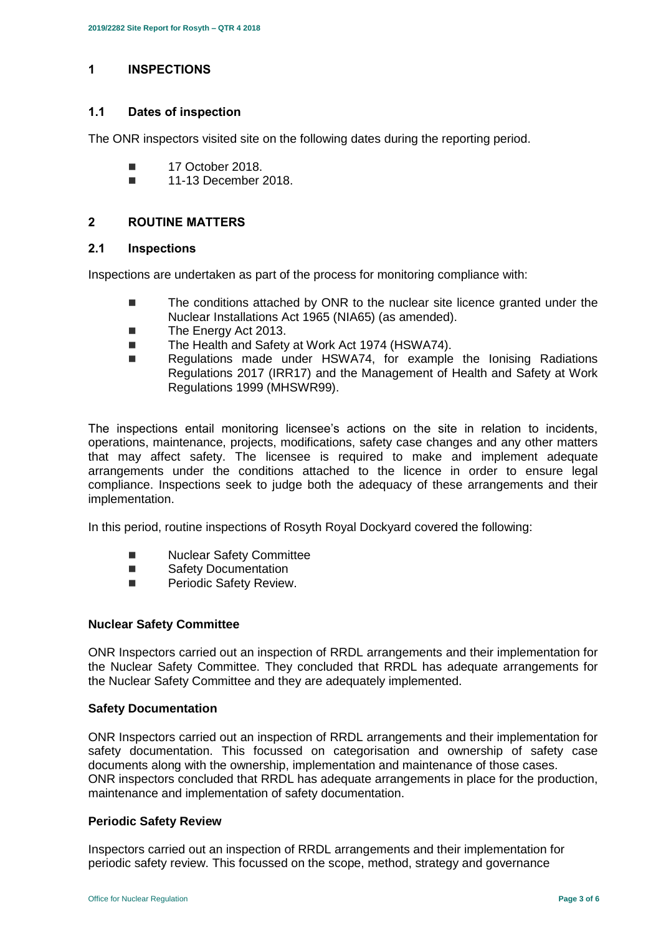# <span id="page-2-0"></span>**1 INSPECTIONS**

#### **1.1 Dates of inspection**

The ONR inspectors visited site on the following dates during the reporting period.

- 17 October 2018.
- **11-13 December 2018**

# <span id="page-2-1"></span>**2 ROUTINE MATTERS**

#### **2.1 Inspections**

Inspections are undertaken as part of the process for monitoring compliance with:

- The conditions attached by ONR to the nuclear site licence granted under the Nuclear Installations Act 1965 (NIA65) (as amended).
- The Energy Act 2013.
- The Health and Safety at Work Act 1974 (HSWA74).
- Regulations made under HSWA74, for example the Ionising Radiations Regulations 2017 (IRR17) and the Management of Health and Safety at Work Regulations 1999 (MHSWR99).

The inspections entail monitoring licensee's actions on the site in relation to incidents, operations, maintenance, projects, modifications, safety case changes and any other matters that may affect safety. The licensee is required to make and implement adequate arrangements under the conditions attached to the licence in order to ensure legal compliance. Inspections seek to judge both the adequacy of these arrangements and their implementation.

In this period, routine inspections of Rosyth Royal Dockyard covered the following:

- **Nuclear Safety Committee**
- Safety Documentation
- **Periodic Safety Review.**

#### **Nuclear Safety Committee**

ONR Inspectors carried out an inspection of RRDL arrangements and their implementation for the Nuclear Safety Committee. They concluded that RRDL has adequate arrangements for the Nuclear Safety Committee and they are adequately implemented.

#### **Safety Documentation**

ONR Inspectors carried out an inspection of RRDL arrangements and their implementation for safety documentation. This focussed on categorisation and ownership of safety case documents along with the ownership, implementation and maintenance of those cases. ONR inspectors concluded that RRDL has adequate arrangements in place for the production, maintenance and implementation of safety documentation.

#### **Periodic Safety Review**

Inspectors carried out an inspection of RRDL arrangements and their implementation for periodic safety review. This focussed on the scope, method, strategy and governance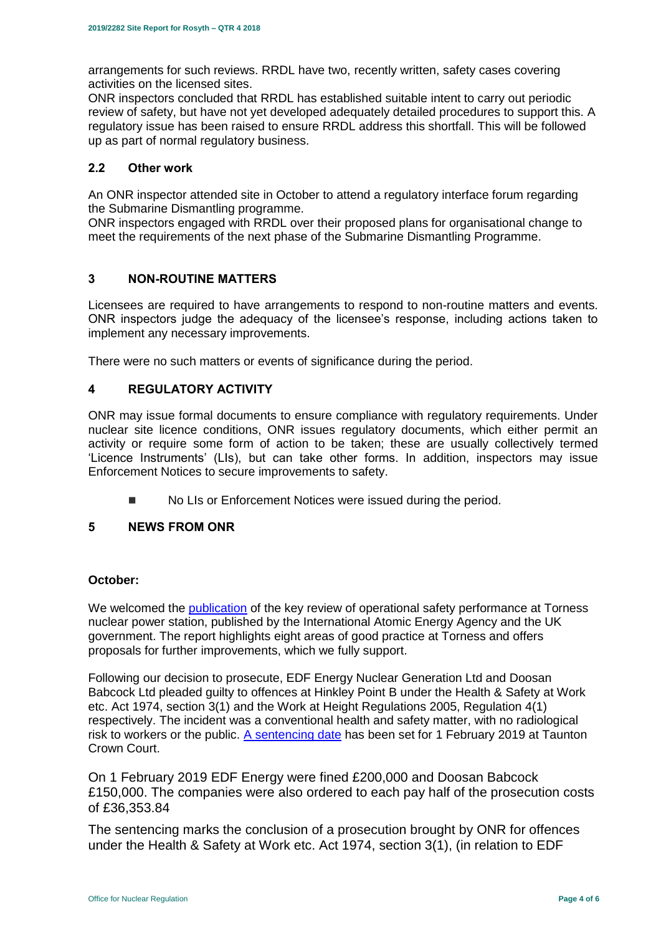arrangements for such reviews. RRDL have two, recently written, safety cases covering activities on the licensed sites.

ONR inspectors concluded that RRDL has established suitable intent to carry out periodic review of safety, but have not yet developed adequately detailed procedures to support this. A regulatory issue has been raised to ensure RRDL address this shortfall. This will be followed up as part of normal regulatory business.

# **2.2 Other work**

An ONR inspector attended site in October to attend a regulatory interface forum regarding the Submarine Dismantling programme.

ONR inspectors engaged with RRDL over their proposed plans for organisational change to meet the requirements of the next phase of the Submarine Dismantling Programme.

# <span id="page-3-0"></span>**3 NON-ROUTINE MATTERS**

Licensees are required to have arrangements to respond to non-routine matters and events. ONR inspectors judge the adequacy of the licensee's response, including actions taken to implement any necessary improvements.

There were no such matters or events of significance during the period.

# <span id="page-3-1"></span>**4 REGULATORY ACTIVITY**

ONR may issue formal documents to ensure compliance with regulatory requirements. Under nuclear site licence conditions, ONR issues regulatory documents, which either permit an activity or require some form of action to be taken; these are usually collectively termed 'Licence Instruments' (LIs), but can take other forms. In addition, inspectors may issue Enforcement Notices to secure improvements to safety.

■ No LIs or Enforcement Notices were issued during the period.

#### <span id="page-3-2"></span>**5 NEWS FROM ONR**

#### **October:**

We welcomed the [publication](http://news.onr.org.uk/2018/10/iaea-review-torness-power-station/) of the key review of operational safety performance at Torness nuclear power station, published by the International Atomic Energy Agency and the UK government. The report highlights eight areas of good practice at Torness and offers proposals for further improvements, which we fully support.

Following our decision to prosecute, EDF Energy Nuclear Generation Ltd and Doosan Babcock Ltd pleaded guilty to offences at Hinkley Point B under the Health & Safety at Work etc. Act 1974, section 3(1) and the Work at Height Regulations 2005, Regulation 4(1) respectively. The incident was a conventional health and safety matter, with no radiological risk to workers or the public. [A sentencing date](http://news.onr.org.uk/2018/10/edf-and-doosan-babcock-plead-guilty/) has been set for 1 February 2019 at Taunton Crown Court.

On 1 February 2019 EDF Energy were fined £200,000 and Doosan Babcock £150,000. The companies were also ordered to each pay half of the prosecution costs of £36,353.84

The sentencing marks the conclusion of a prosecution brought by ONR for offences under the Health & Safety at Work etc. Act 1974, section 3(1), (in relation to EDF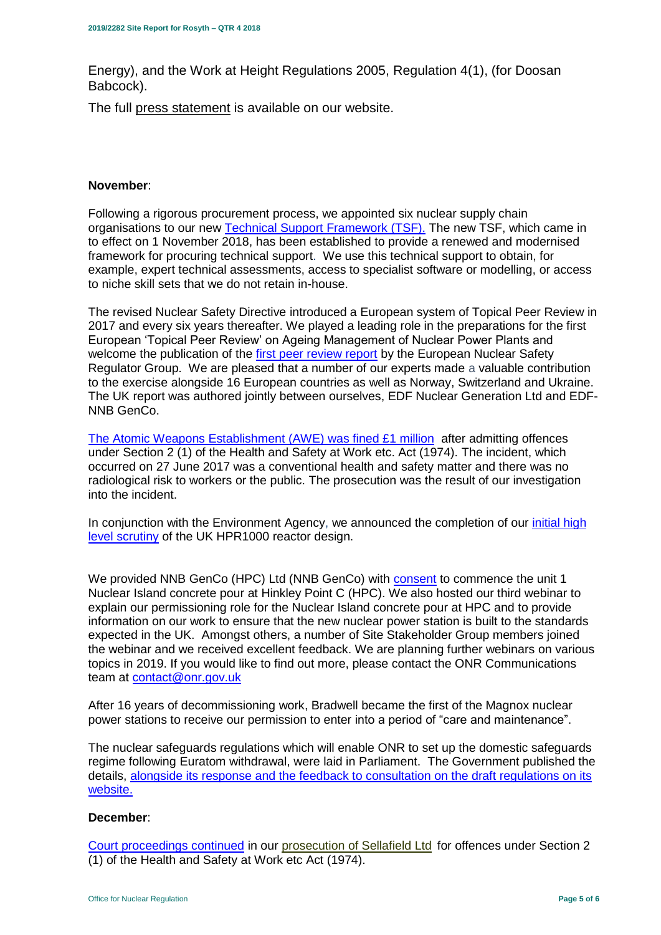Energy), and the Work at Height Regulations 2005, Regulation 4(1), (for Doosan Babcock).

The full [press statement](http://news.onr.org.uk/2019/02/companies-fined-for-health-and-safety-breaches/) is available on our website.

# **November**:

Following a rigorous procurement process, we appointed six nuclear supply chain organisations to our new [Technical Support Framework \(TSF\).](http://news.onr.org.uk/2018/11/new-technical-support-framework-announced/) The new TSF, which came in to effect on 1 November 2018, has been established to provide a renewed and modernised framework for procuring technical support. We use this technical support to obtain, for example, expert technical assessments, access to specialist software or modelling, or access to niche skill sets that we do not retain in-house.

The revised Nuclear Safety Directive introduced a European system of Topical Peer Review in 2017 and every six years thereafter. We played a leading role in the preparations for the first European 'Topical Peer Review' on Ageing Management of Nuclear Power Plants and welcome the publication of the [first peer review report](http://news.onr.org.uk/2018/11/onr-welcomes-first-topical-peer-review/) by the European Nuclear Safety Regulator Group. We are pleased that a number of our experts made a valuable contribution to the exercise alongside 16 European countries as well as Norway, Switzerland and Ukraine. The UK report was authored jointly between ourselves, EDF Nuclear Generation Ltd and EDF-NNB GenCo.

[The Atomic Weapons Establishment \(AWE\) was fined £1 million](http://news.onr.org.uk/2018/11/awe-prosecution-reaction/) after admitting offences under Section 2 (1) of the Health and Safety at Work etc. Act (1974). The incident, which occurred on 27 June 2017 was a conventional health and safety matter and there was no radiological risk to workers or the public. The prosecution was the result of our investigation into the incident.

In conjunction with the Environment Agency, we announced the completion of our [initial high](http://news.onr.org.uk/2018/11/uk-hpr1000-completes-gda-step-2/)  [level scrutiny](http://news.onr.org.uk/2018/11/uk-hpr1000-completes-gda-step-2/) of the UK HPR1000 reactor design.

We provided NNB GenCo (HPC) Ltd (NNB GenCo) with **consent** to commence the unit 1 Nuclear Island concrete pour at Hinkley Point C (HPC). We also hosted our third webinar to explain our permissioning role for the Nuclear Island concrete pour at HPC and to provide information on our work to ensure that the new nuclear power station is built to the standards expected in the UK. Amongst others, a number of Site Stakeholder Group members joined the webinar and we received excellent feedback. We are planning further webinars on various topics in 2019. If you would like to find out more, please contact the ONR Communications team at [contact@onr.gov.uk](mailto:contact@onr.gov.uk)

After 16 years of decommissioning work, Bradwell became the first of the Magnox nuclear power stations to receive our permission to enter into a period of "care and maintenance".

The nuclear safeguards regulations which will enable ONR to set up the domestic safeguards regime following Euratom withdrawal, were laid in Parliament. The Government published the details, [alongside its response and the feedback to consultation on the draft regulations on its](https://www.gov.uk/government/consultations/nuclear-safeguards-regulations)  [website.](https://www.gov.uk/government/consultations/nuclear-safeguards-regulations)

#### **December**:

[Court proceedings continued](http://news.onr.org.uk/2018/12/prosecution-of-sellafield-ltd/) in our [prosecution of Sellafield Ltd](http://news.onr.org.uk/2018/07/update-prosecution-of-sellafield-ltd/) for offences under Section 2 (1) of the Health and Safety at Work etc Act (1974).